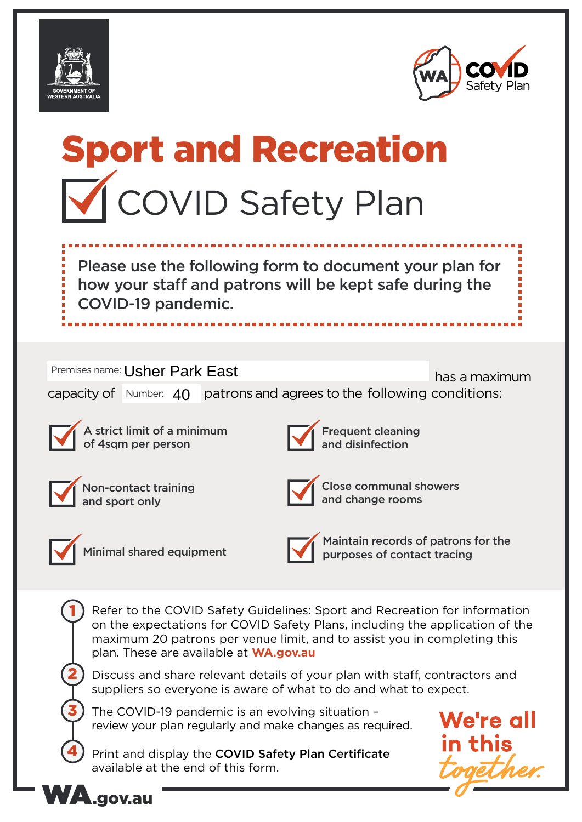



# Sport and Recreation **V** COVID Safety Plan

Please use the following form to document your plan for how your staff and patrons will be kept safe during the COVID-19 pandemic.

Premises name: Usher Park East **Execute 19 and 1999** has a maximum capacity of  $\mid$  Number:  $\mid 40 \mid$  patrons and agrees to the following conditions:



A strict limit of a minimum of 4sqm per person



Frequent cleaning and disinfection



Non-contact training and sport only



Close communal showers and change rooms



1

2

3

4

Minimal shared equipment



Maintain records of patrons for the purposes of contact tracing

Refer to the COVID Safety Guidelines: Sport and Recreation for information on the expectations for COVID Safety Plans, including the application of the maximum 20 patrons per venue limit, and to assist you in completing this plan. These are available at **WA.gov.au**

Discuss and share relevant details of your plan with staff, contractors and suppliers so everyone is aware of what to do and what to expect.

The COVID-19 pandemic is an evolving situation – review your plan regularly and make changes as required.

Print and display the COVID Safety Plan Certificate available at the end of this form.



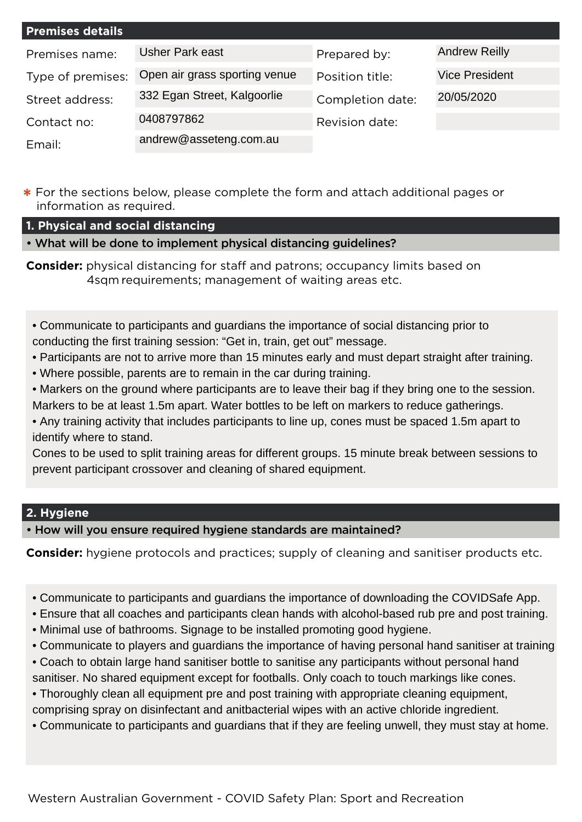| <b>Premises details</b> |                               |                  |                       |
|-------------------------|-------------------------------|------------------|-----------------------|
| Premises name:          | <b>Usher Park east</b>        | Prepared by:     | <b>Andrew Reilly</b>  |
| Type of premises:       | Open air grass sporting venue | Position title:  | <b>Vice President</b> |
| Street address:         | 332 Egan Street, Kalgoorlie   | Completion date: | 20/05/2020            |
| Contact no:             | 0408797862                    | Revision date:   |                       |
| Email:                  | andrew@asseteng.com.au        |                  |                       |

**\*** For the sections below, please complete the form and attach additional pages or information as required.

# **1. Physical and social distancing**

• What will be done to implement physical distancing guidelines?

**Consider:** physical distancing for staff and patrons; occupancy limits based on 4sqm requirements; management of waiting areas etc.

• Communicate to participants and guardians the importance of social distancing prior to conducting the first training session: "Get in, train, get out" message.

- Participants are not to arrive more than 15 minutes early and must depart straight after training.
- Where possible, parents are to remain in the car during training.

• Markers on the ground where participants are to leave their bag if they bring one to the session. Markers to be at least 1.5m apart. Water bottles to be left on markers to reduce gatherings.

• Any training activity that includes participants to line up, cones must be spaced 1.5m apart to identify where to stand.

Cones to be used to split training areas for different groups. 15 minute break between sessions to prevent participant crossover and cleaning of shared equipment.

# **2. Hygiene**

• How will you ensure required hygiene standards are maintained?

**Consider:** hygiene protocols and practices; supply of cleaning and sanitiser products etc.

- Communicate to participants and guardians the importance of downloading the COVIDSafe App.
- Ensure that all coaches and participants clean hands with alcohol-based rub pre and post training.
- Minimal use of bathrooms. Signage to be installed promoting good hygiene.
- Communicate to players and guardians the importance of having personal hand sanitiser at training
- Coach to obtain large hand sanitiser bottle to sanitise any participants without personal hand sanitiser. No shared equipment except for footballs. Only coach to touch markings like cones.
- Thoroughly clean all equipment pre and post training with appropriate cleaning equipment,

comprising spray on disinfectant and anitbacterial wipes with an active chloride ingredient.

• Communicate to participants and guardians that if they are feeling unwell, they must stay at home.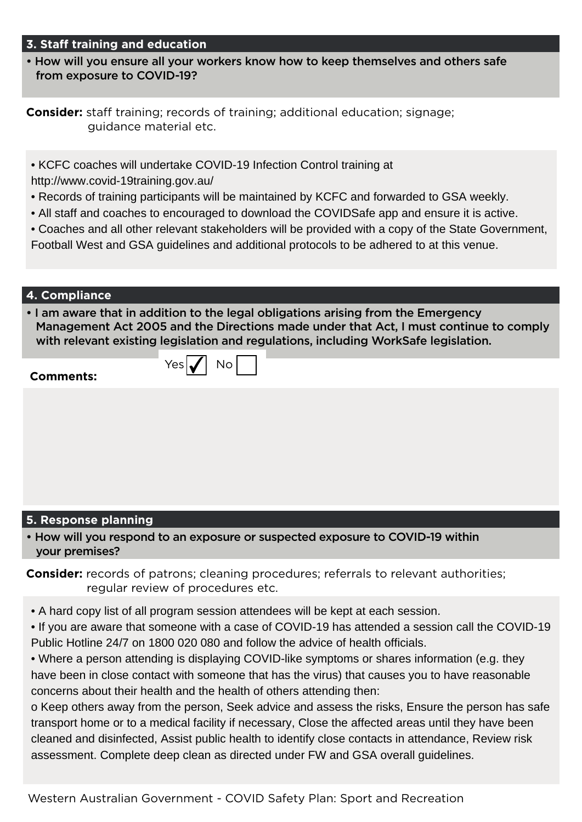## **3. Staff training and education**

• How will you ensure all your workers know how to keep themselves and others safe from exposure to COVID-19?

**Consider:** staff training; records of training; additional education; signage; guidance material etc.

• KCFC coaches will undertake COVID-19 Infection Control training at

 $Yes|\boldsymbol{\checkmark}|$  No

http://www.covid-19training.gov.au/

- Records of training participants will be maintained by KCFC and forwarded to GSA weekly.
- All staff and coaches to encouraged to download the COVIDSafe app and ensure it is active.
- Coaches and all other relevant stakeholders will be provided with a copy of the State Government,
- Football West and GSA guidelines and additional protocols to be adhered to at this venue.

## **4. Compliance**

• I am aware that in addition to the legal obligations arising from the Emergency Management Act 2005 and the Directions made under that Act, I must continue to comply with relevant existing legislation and regulations, including WorkSafe legislation.

## **Comments:**

## **5. Response planning**

• How will you respond to an exposure or suspected exposure to COVID-19 within your premises?

**Consider:** records of patrons; cleaning procedures; referrals to relevant authorities; regular review of procedures etc.

- A hard copy list of all program session attendees will be kept at each session.
- If you are aware that someone with a case of COVID-19 has attended a session call the COVID-19 Public Hotline 24/7 on 1800 020 080 and follow the advice of health officials.
- Where a person attending is displaying COVID-like symptoms or shares information (e.g. they have been in close contact with someone that has the virus) that causes you to have reasonable concerns about their health and the health of others attending then:

o Keep others away from the person, Seek advice and assess the risks, Ensure the person has safe transport home or to a medical facility if necessary, Close the affected areas until they have been cleaned and disinfected, Assist public health to identify close contacts in attendance, Review risk assessment. Complete deep clean as directed under FW and GSA overall guidelines.